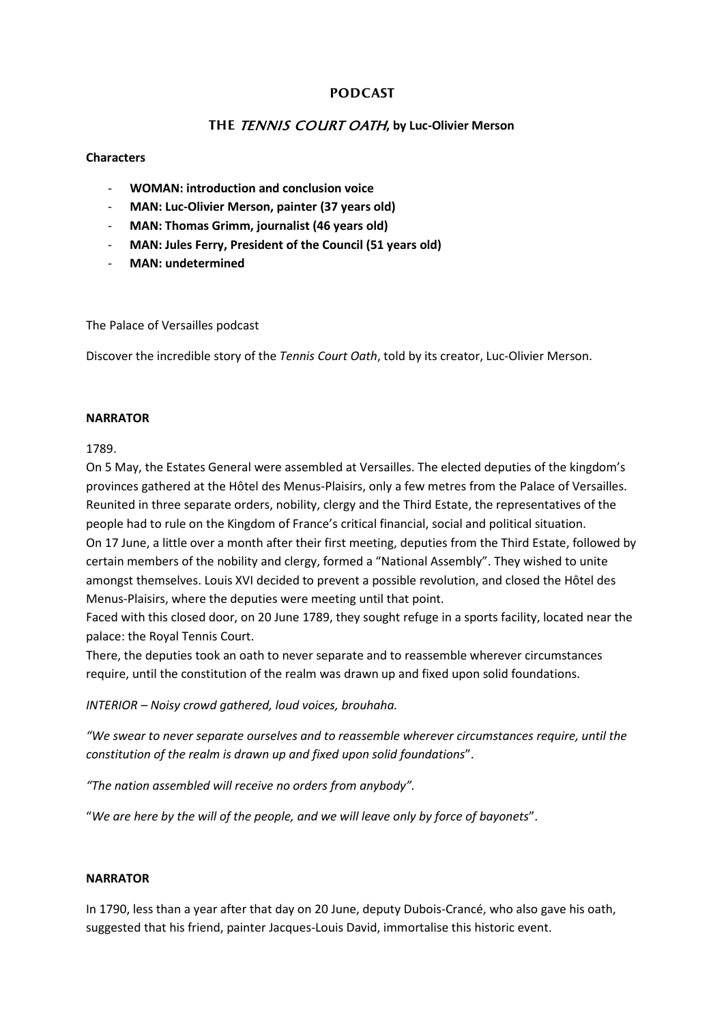# **PODCAST**

# THE TENNIS COURT OATH, by Luc-Olivier Merson

### **Characters**

- **WOMAN: introduction and conclusion voice**
- **MAN: Luc-Olivier Merson, painter (37 years old)**
- **MAN: Thomas Grimm, journalist (46 years old)**
- **MAN: Jules Ferry, President of the Council (51 years old)**
- **MAN: undetermined**

The Palace of Versailles podcast

Discover the incredible story of the *Tennis Court Oath*, told by its creator, Luc-Olivier Merson.

#### **NARRATOR**

## 1789.

On 5 May, the Estates General were assembled at Versailles. The elected deputies of the kingdom's provinces gathered at the Hôtel des Menus-Plaisirs, only a few metres from the Palace of Versailles. Reunited in three separate orders, nobility, clergy and the Third Estate, the representatives of the people had to rule on the Kingdom of France's critical financial, social and political situation. On 17 June, a little over a month after their first meeting, deputies from the Third Estate, followed by certain members of the nobility and clergy, formed a "National Assembly". They wished to unite amongst themselves. Louis XVI decided to prevent a possible revolution, and closed the Hôtel des Menus-Plaisirs, where the deputies were meeting until that point.

Faced with this closed door, on 20 June 1789, they sought refuge in a sports facility, located near the palace: the Royal Tennis Court.

There, the deputies took an oath to never separate and to reassemble wherever circumstances require, until the constitution of the realm was drawn up and fixed upon solid foundations.

*INTERIOR – Noisy crowd gathered, loud voices, brouhaha.*

*"We swear to never separate ourselves and to reassemble wherever circumstances require, until the constitution of the realm is drawn up and fixed upon solid foundations*".

*"The nation assembled will receive no orders from anybody".*

"*We are here by the will of the people, and we will leave only by force of bayonets*".

## **NARRATOR**

In 1790, less than a year after that day on 20 June, deputy Dubois-Crancé, who also gave his oath, suggested that his friend, painter Jacques-Louis David, immortalise this historic event.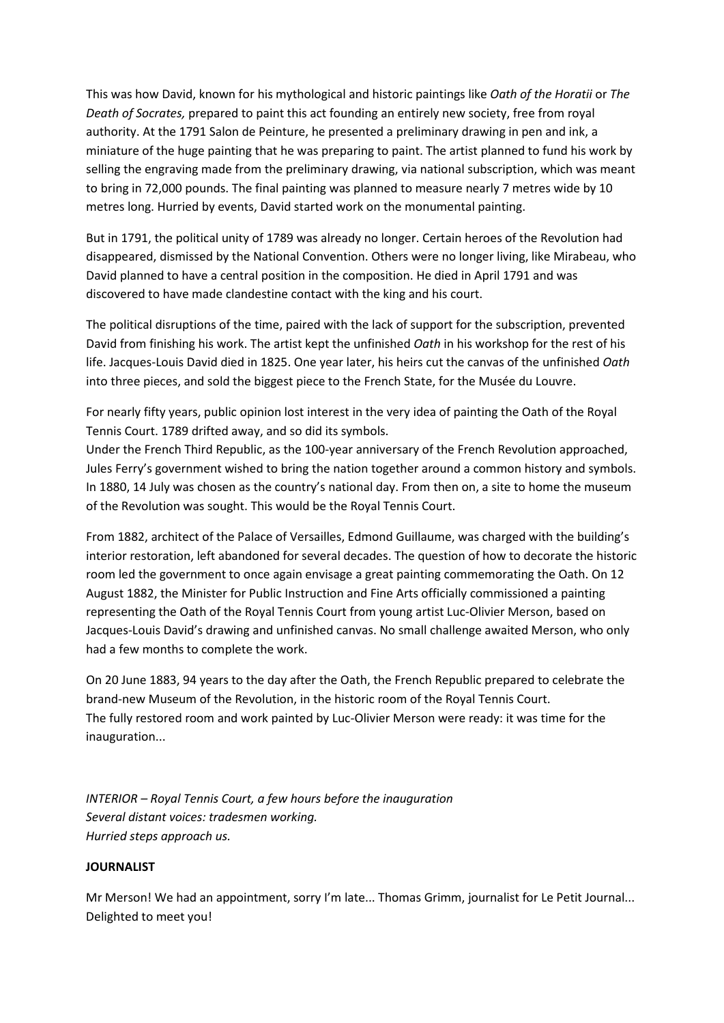This was how David, known for his mythological and historic paintings like *Oath of the Horatii* or *The Death of Socrates,* prepared to paint this act founding an entirely new society, free from royal authority. At the 1791 Salon de Peinture, he presented a preliminary drawing in pen and ink, a miniature of the huge painting that he was preparing to paint. The artist planned to fund his work by selling the engraving made from the preliminary drawing, via national subscription, which was meant to bring in 72,000 pounds. The final painting was planned to measure nearly 7 metres wide by 10 metres long. Hurried by events, David started work on the monumental painting.

But in 1791, the political unity of 1789 was already no longer. Certain heroes of the Revolution had disappeared, dismissed by the National Convention. Others were no longer living, like Mirabeau, who David planned to have a central position in the composition. He died in April 1791 and was discovered to have made clandestine contact with the king and his court.

The political disruptions of the time, paired with the lack of support for the subscription, prevented David from finishing his work. The artist kept the unfinished *Oath* in his workshop for the rest of his life. Jacques-Louis David died in 1825. One year later, his heirs cut the canvas of the unfinished *Oath* into three pieces, and sold the biggest piece to the French State, for the Musée du Louvre.

For nearly fifty years, public opinion lost interest in the very idea of painting the Oath of the Royal Tennis Court. 1789 drifted away, and so did its symbols.

Under the French Third Republic, as the 100-year anniversary of the French Revolution approached, Jules Ferry's government wished to bring the nation together around a common history and symbols. In 1880, 14 July was chosen as the country's national day. From then on, a site to home the museum of the Revolution was sought. This would be the Royal Tennis Court.

From 1882, architect of the Palace of Versailles, Edmond Guillaume, was charged with the building's interior restoration, left abandoned for several decades. The question of how to decorate the historic room led the government to once again envisage a great painting commemorating the Oath. On 12 August 1882, the Minister for Public Instruction and Fine Arts officially commissioned a painting representing the Oath of the Royal Tennis Court from young artist Luc-Olivier Merson, based on Jacques-Louis David's drawing and unfinished canvas. No small challenge awaited Merson, who only had a few months to complete the work.

On 20 June 1883, 94 years to the day after the Oath, the French Republic prepared to celebrate the brand-new Museum of the Revolution, in the historic room of the Royal Tennis Court. The fully restored room and work painted by Luc-Olivier Merson were ready: it was time for the inauguration...

*INTERIOR – Royal Tennis Court, a few hours before the inauguration Several distant voices: tradesmen working. Hurried steps approach us.*

#### **JOURNALIST**

Mr Merson! We had an appointment, sorry I'm late... Thomas Grimm, journalist for Le Petit Journal... Delighted to meet you!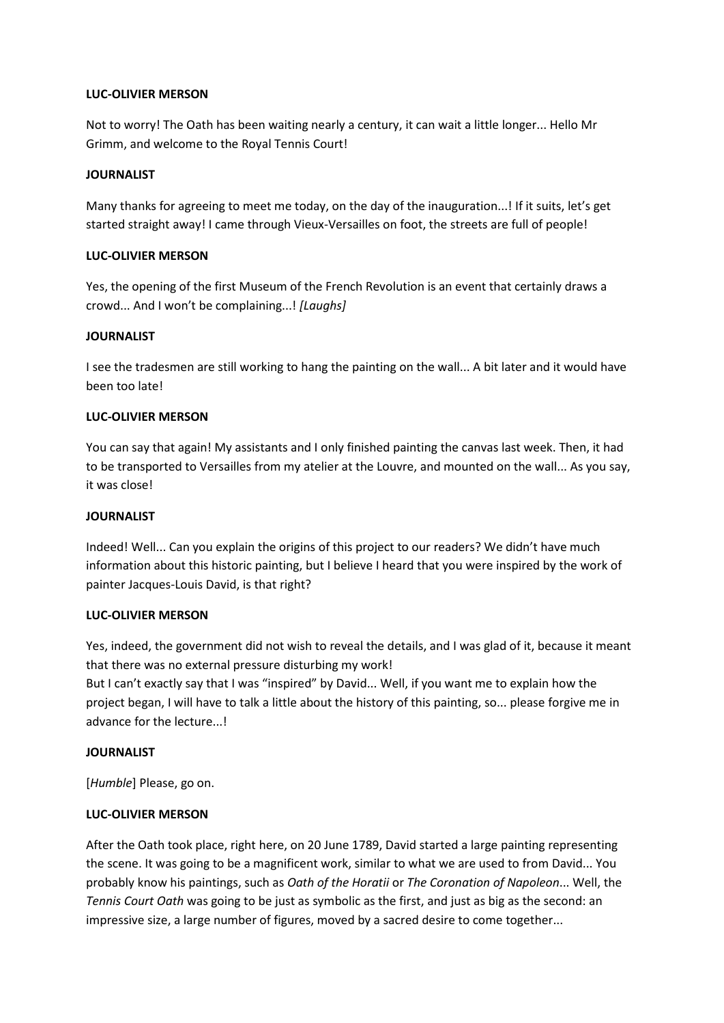#### **LUC-OLIVIER MERSON**

Not to worry! The Oath has been waiting nearly a century, it can wait a little longer... Hello Mr Grimm, and welcome to the Royal Tennis Court!

#### **JOURNALIST**

Many thanks for agreeing to meet me today, on the day of the inauguration...! If it suits, let's get started straight away! I came through Vieux-Versailles on foot, the streets are full of people!

### **LUC-OLIVIER MERSON**

Yes, the opening of the first Museum of the French Revolution is an event that certainly draws a crowd... And I won't be complaining...! *[Laughs]*

## **JOURNALIST**

I see the tradesmen are still working to hang the painting on the wall... A bit later and it would have been too late!

## **LUC-OLIVIER MERSON**

You can say that again! My assistants and I only finished painting the canvas last week. Then, it had to be transported to Versailles from my atelier at the Louvre, and mounted on the wall... As you say, it was close!

### **JOURNALIST**

Indeed! Well... Can you explain the origins of this project to our readers? We didn't have much information about this historic painting, but I believe I heard that you were inspired by the work of painter Jacques-Louis David, is that right?

#### **LUC-OLIVIER MERSON**

Yes, indeed, the government did not wish to reveal the details, and I was glad of it, because it meant that there was no external pressure disturbing my work!

But I can't exactly say that I was "inspired" by David... Well, if you want me to explain how the project began, I will have to talk a little about the history of this painting, so... please forgive me in advance for the lecture...!

## **JOURNALIST**

[*Humble*] Please, go on.

## **LUC-OLIVIER MERSON**

After the Oath took place, right here, on 20 June 1789, David started a large painting representing the scene. It was going to be a magnificent work, similar to what we are used to from David... You probably know his paintings, such as *Oath of the Horatii* or *The Coronation of Napoleon*... Well, the *Tennis Court Oath* was going to be just as symbolic as the first, and just as big as the second: an impressive size, a large number of figures, moved by a sacred desire to come together...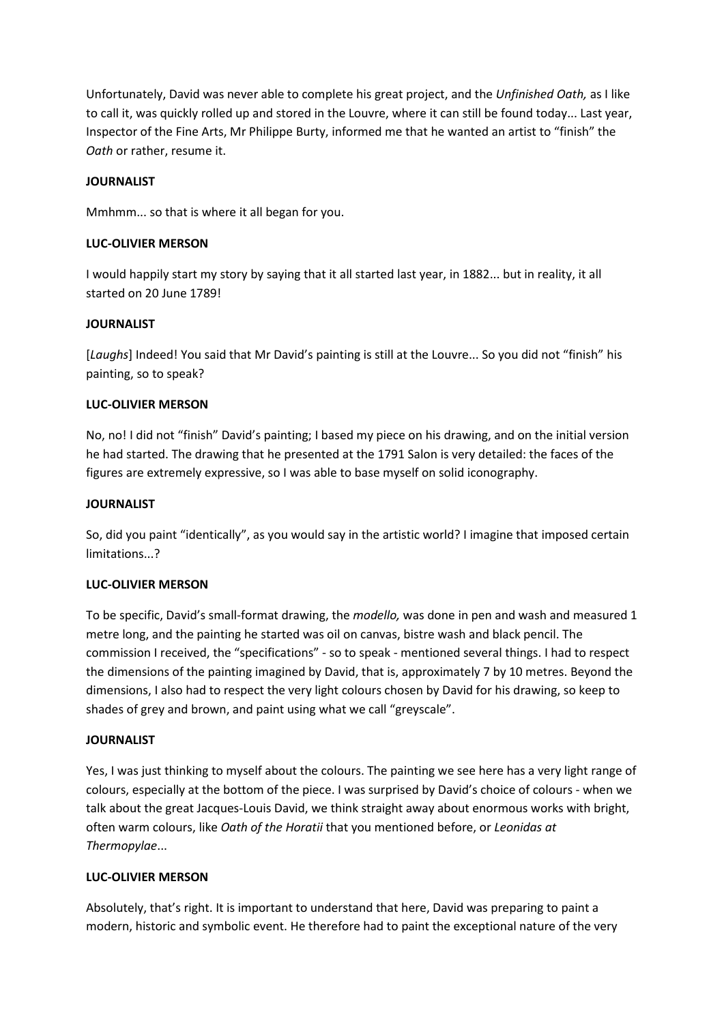Unfortunately, David was never able to complete his great project, and the *Unfinished Oath,* as I like to call it, was quickly rolled up and stored in the Louvre, where it can still be found today... Last year, Inspector of the Fine Arts, Mr Philippe Burty, informed me that he wanted an artist to "finish" the *Oath* or rather, resume it.

## **JOURNALIST**

Mmhmm... so that is where it all began for you.

### **LUC-OLIVIER MERSON**

I would happily start my story by saying that it all started last year, in 1882... but in reality, it all started on 20 June 1789!

## **JOURNALIST**

[*Laughs*] Indeed! You said that Mr David's painting is still at the Louvre... So you did not "finish" his painting, so to speak?

## **LUC-OLIVIER MERSON**

No, no! I did not "finish" David's painting; I based my piece on his drawing, and on the initial version he had started. The drawing that he presented at the 1791 Salon is very detailed: the faces of the figures are extremely expressive, so I was able to base myself on solid iconography.

## **JOURNALIST**

So, did you paint "identically", as you would say in the artistic world? I imagine that imposed certain limitations...?

## **LUC-OLIVIER MERSON**

To be specific, David's small-format drawing, the *modello,* was done in pen and wash and measured 1 metre long, and the painting he started was oil on canvas, bistre wash and black pencil. The commission I received, the "specifications" - so to speak - mentioned several things. I had to respect the dimensions of the painting imagined by David, that is, approximately 7 by 10 metres. Beyond the dimensions, I also had to respect the very light colours chosen by David for his drawing, so keep to shades of grey and brown, and paint using what we call "greyscale".

#### **JOURNALIST**

Yes, I was just thinking to myself about the colours. The painting we see here has a very light range of colours, especially at the bottom of the piece. I was surprised by David's choice of colours - when we talk about the great Jacques-Louis David, we think straight away about enormous works with bright, often warm colours, like *Oath of the Horatii* that you mentioned before, or *Leonidas at Thermopylae*...

## **LUC-OLIVIER MERSON**

Absolutely, that's right. It is important to understand that here, David was preparing to paint a modern, historic and symbolic event. He therefore had to paint the exceptional nature of the very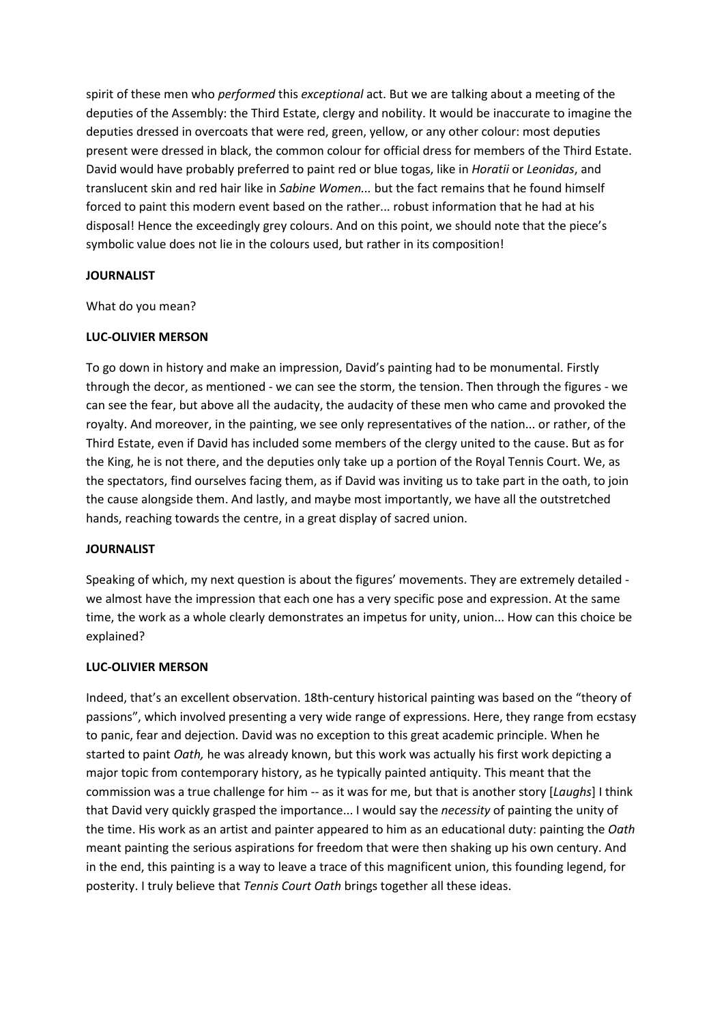spirit of these men who *performed* this *exceptional* act. But we are talking about a meeting of the deputies of the Assembly: the Third Estate, clergy and nobility. It would be inaccurate to imagine the deputies dressed in overcoats that were red, green, yellow, or any other colour: most deputies present were dressed in black, the common colour for official dress for members of the Third Estate. David would have probably preferred to paint red or blue togas, like in *Horatii* or *Leonidas*, and translucent skin and red hair like in *Sabine Women...* but the fact remains that he found himself forced to paint this modern event based on the rather... robust information that he had at his disposal! Hence the exceedingly grey colours. And on this point, we should note that the piece's symbolic value does not lie in the colours used, but rather in its composition!

#### **JOURNALIST**

What do you mean?

#### **LUC-OLIVIER MERSON**

To go down in history and make an impression, David's painting had to be monumental. Firstly through the decor, as mentioned - we can see the storm, the tension. Then through the figures - we can see the fear, but above all the audacity, the audacity of these men who came and provoked the royalty. And moreover, in the painting, we see only representatives of the nation... or rather, of the Third Estate, even if David has included some members of the clergy united to the cause. But as for the King, he is not there, and the deputies only take up a portion of the Royal Tennis Court. We, as the spectators, find ourselves facing them, as if David was inviting us to take part in the oath, to join the cause alongside them. And lastly, and maybe most importantly, we have all the outstretched hands, reaching towards the centre, in a great display of sacred union.

#### **JOURNALIST**

Speaking of which, my next question is about the figures' movements. They are extremely detailed we almost have the impression that each one has a very specific pose and expression. At the same time, the work as a whole clearly demonstrates an impetus for unity, union... How can this choice be explained?

#### **LUC-OLIVIER MERSON**

Indeed, that's an excellent observation. 18th-century historical painting was based on the "theory of passions", which involved presenting a very wide range of expressions. Here, they range from ecstasy to panic, fear and dejection. David was no exception to this great academic principle. When he started to paint *Oath,* he was already known, but this work was actually his first work depicting a major topic from contemporary history, as he typically painted antiquity. This meant that the commission was a true challenge for him -- as it was for me, but that is another story [*Laughs*] I think that David very quickly grasped the importance... I would say the *necessity* of painting the unity of the time. His work as an artist and painter appeared to him as an educational duty: painting the *Oath* meant painting the serious aspirations for freedom that were then shaking up his own century. And in the end, this painting is a way to leave a trace of this magnificent union, this founding legend, for posterity. I truly believe that *Tennis Court Oath* brings together all these ideas.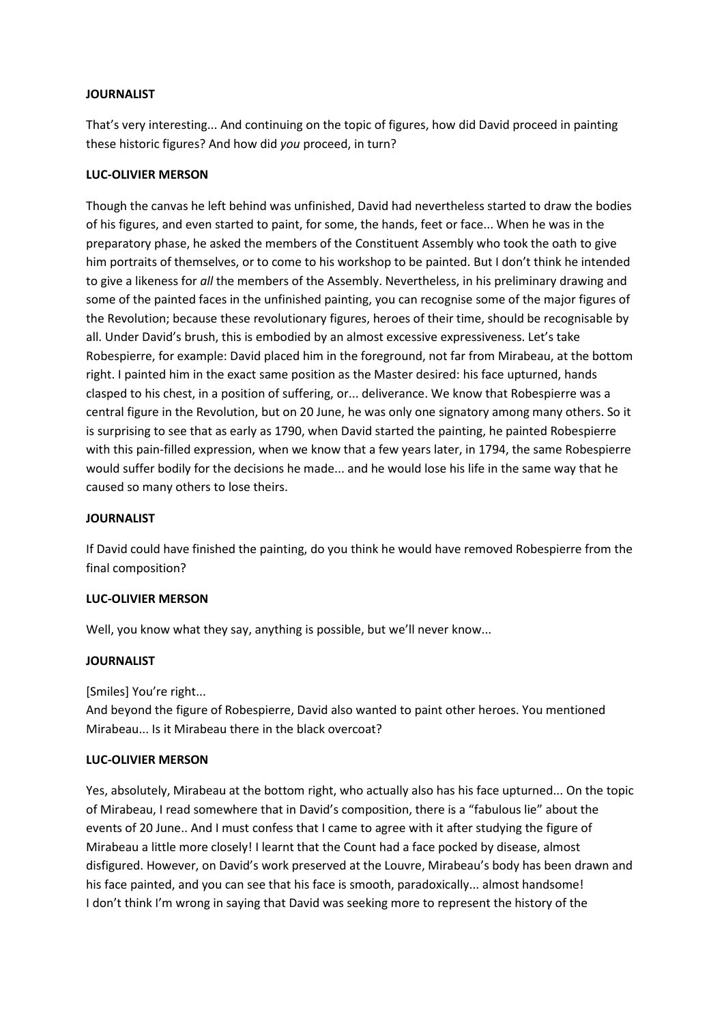## **JOURNALIST**

That's very interesting... And continuing on the topic of figures, how did David proceed in painting these historic figures? And how did *you* proceed, in turn?

## **LUC-OLIVIER MERSON**

Though the canvas he left behind was unfinished, David had nevertheless started to draw the bodies of his figures, and even started to paint, for some, the hands, feet or face... When he was in the preparatory phase, he asked the members of the Constituent Assembly who took the oath to give him portraits of themselves, or to come to his workshop to be painted. But I don't think he intended to give a likeness for *all* the members of the Assembly. Nevertheless, in his preliminary drawing and some of the painted faces in the unfinished painting, you can recognise some of the major figures of the Revolution; because these revolutionary figures, heroes of their time, should be recognisable by all. Under David's brush, this is embodied by an almost excessive expressiveness. Let's take Robespierre, for example: David placed him in the foreground, not far from Mirabeau, at the bottom right. I painted him in the exact same position as the Master desired: his face upturned, hands clasped to his chest, in a position of suffering, or... deliverance. We know that Robespierre was a central figure in the Revolution, but on 20 June, he was only one signatory among many others. So it is surprising to see that as early as 1790, when David started the painting, he painted Robespierre with this pain-filled expression, when we know that a few years later, in 1794, the same Robespierre would suffer bodily for the decisions he made... and he would lose his life in the same way that he caused so many others to lose theirs.

### **JOURNALIST**

If David could have finished the painting, do you think he would have removed Robespierre from the final composition?

## **LUC-OLIVIER MERSON**

Well, you know what they say, anything is possible, but we'll never know...

#### **JOURNALIST**

[Smiles] You're right...

And beyond the figure of Robespierre, David also wanted to paint other heroes. You mentioned Mirabeau... Is it Mirabeau there in the black overcoat?

#### **LUC-OLIVIER MERSON**

Yes, absolutely, Mirabeau at the bottom right, who actually also has his face upturned... On the topic of Mirabeau, I read somewhere that in David's composition, there is a "fabulous lie" about the events of 20 June.. And I must confess that I came to agree with it after studying the figure of Mirabeau a little more closely! I learnt that the Count had a face pocked by disease, almost disfigured. However, on David's work preserved at the Louvre, Mirabeau's body has been drawn and his face painted, and you can see that his face is smooth, paradoxically... almost handsome! I don't think I'm wrong in saying that David was seeking more to represent the history of the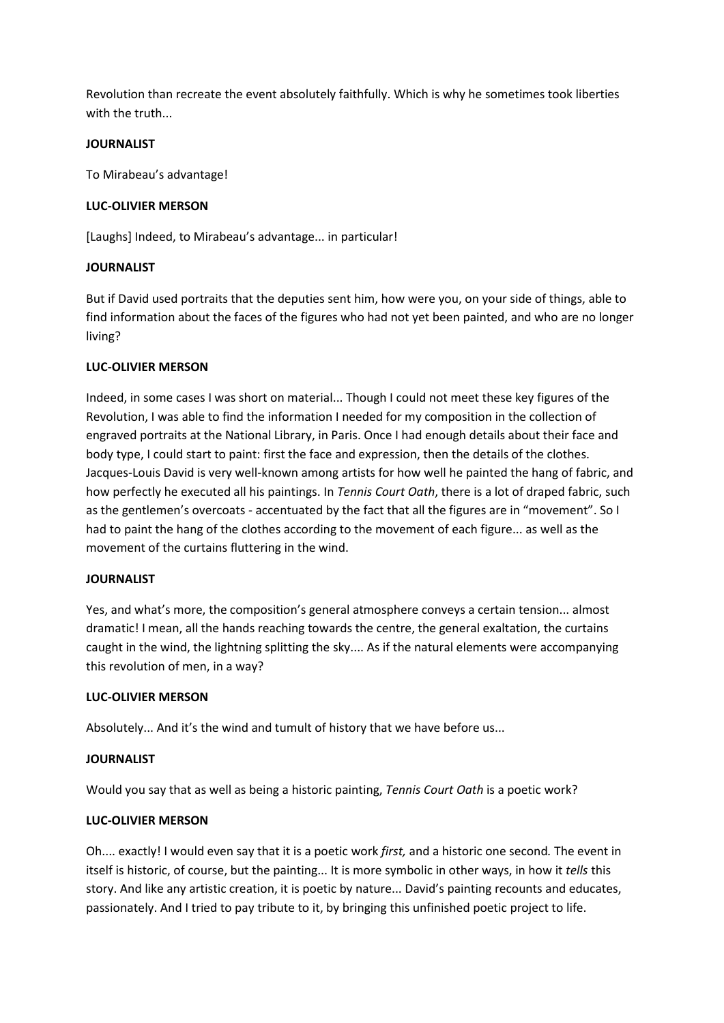Revolution than recreate the event absolutely faithfully. Which is why he sometimes took liberties with the truth...

## **JOURNALIST**

To Mirabeau's advantage!

## **LUC-OLIVIER MERSON**

[Laughs] Indeed, to Mirabeau's advantage... in particular!

## **JOURNALIST**

But if David used portraits that the deputies sent him, how were you, on your side of things, able to find information about the faces of the figures who had not yet been painted, and who are no longer living?

## **LUC-OLIVIER MERSON**

Indeed, in some cases I was short on material... Though I could not meet these key figures of the Revolution, I was able to find the information I needed for my composition in the collection of engraved portraits at the National Library, in Paris. Once I had enough details about their face and body type, I could start to paint: first the face and expression, then the details of the clothes. Jacques-Louis David is very well-known among artists for how well he painted the hang of fabric, and how perfectly he executed all his paintings. In *Tennis Court Oath*, there is a lot of draped fabric, such as the gentlemen's overcoats - accentuated by the fact that all the figures are in "movement". So I had to paint the hang of the clothes according to the movement of each figure... as well as the movement of the curtains fluttering in the wind.

#### **JOURNALIST**

Yes, and what's more, the composition's general atmosphere conveys a certain tension... almost dramatic! I mean, all the hands reaching towards the centre, the general exaltation, the curtains caught in the wind, the lightning splitting the sky.... As if the natural elements were accompanying this revolution of men, in a way?

#### **LUC-OLIVIER MERSON**

Absolutely... And it's the wind and tumult of history that we have before us...

#### **JOURNALIST**

Would you say that as well as being a historic painting, *Tennis Court Oath* is a poetic work?

#### **LUC-OLIVIER MERSON**

Oh.... exactly! I would even say that it is a poetic work *first,* and a historic one second*.* The event in itself is historic, of course, but the painting... It is more symbolic in other ways, in how it *tells* this story. And like any artistic creation, it is poetic by nature... David's painting recounts and educates, passionately. And I tried to pay tribute to it, by bringing this unfinished poetic project to life.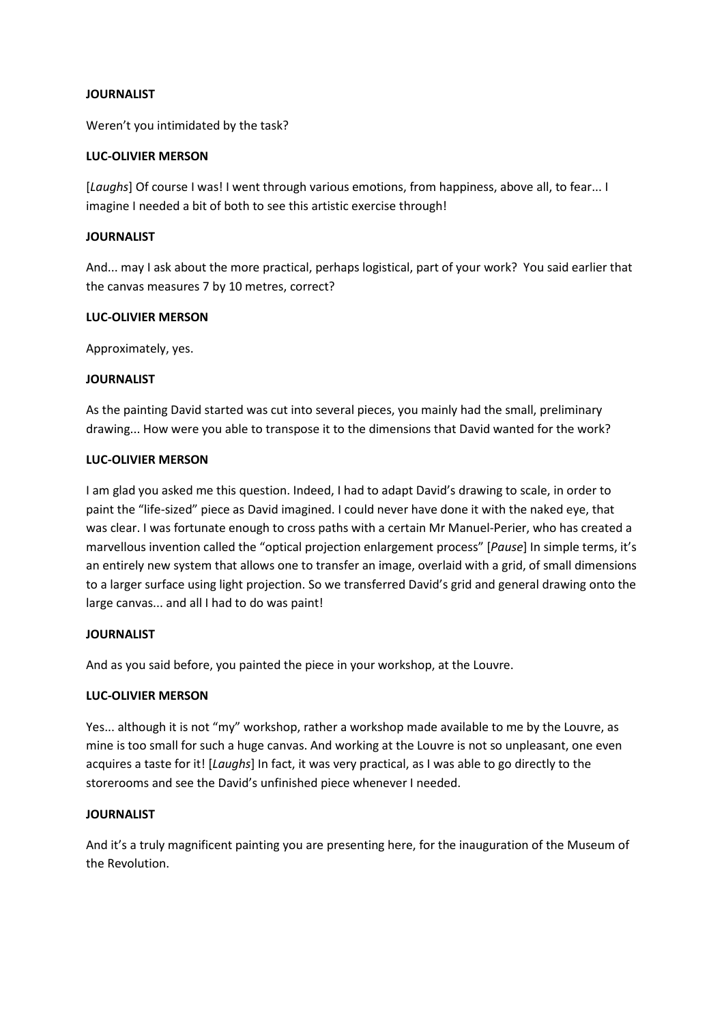### **JOURNALIST**

Weren't you intimidated by the task?

### **LUC-OLIVIER MERSON**

[*Laughs*] Of course I was! I went through various emotions, from happiness, above all, to fear... I imagine I needed a bit of both to see this artistic exercise through!

### **JOURNALIST**

And... may I ask about the more practical, perhaps logistical, part of your work? You said earlier that the canvas measures 7 by 10 metres, correct?

## **LUC-OLIVIER MERSON**

Approximately, yes.

## **JOURNALIST**

As the painting David started was cut into several pieces, you mainly had the small, preliminary drawing... How were you able to transpose it to the dimensions that David wanted for the work?

## **LUC-OLIVIER MERSON**

I am glad you asked me this question. Indeed, I had to adapt David's drawing to scale, in order to paint the "life-sized" piece as David imagined. I could never have done it with the naked eye, that was clear. I was fortunate enough to cross paths with a certain Mr Manuel-Perier, who has created a marvellous invention called the "optical projection enlargement process" [*Pause*] In simple terms, it's an entirely new system that allows one to transfer an image, overlaid with a grid, of small dimensions to a larger surface using light projection. So we transferred David's grid and general drawing onto the large canvas... and all I had to do was paint!

#### **JOURNALIST**

And as you said before, you painted the piece in your workshop, at the Louvre.

#### **LUC-OLIVIER MERSON**

Yes... although it is not "my" workshop, rather a workshop made available to me by the Louvre, as mine is too small for such a huge canvas. And working at the Louvre is not so unpleasant, one even acquires a taste for it! [*Laughs*] In fact, it was very practical, as I was able to go directly to the storerooms and see the David's unfinished piece whenever I needed.

#### **JOURNALIST**

And it's a truly magnificent painting you are presenting here, for the inauguration of the Museum of the Revolution.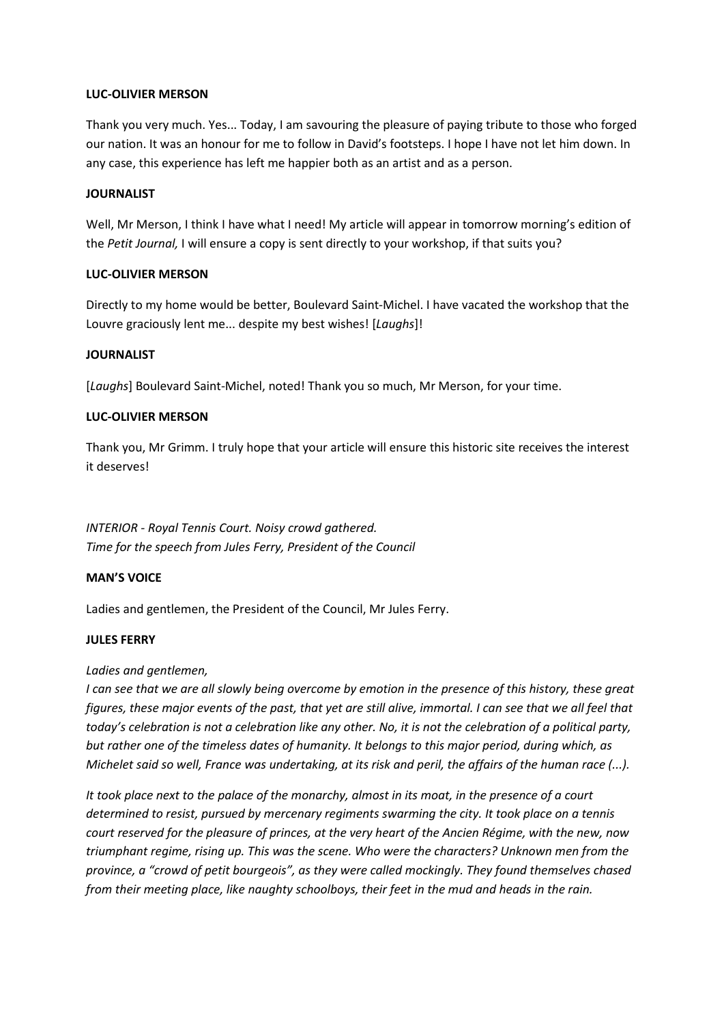### **LUC-OLIVIER MERSON**

Thank you very much. Yes... Today, I am savouring the pleasure of paying tribute to those who forged our nation. It was an honour for me to follow in David's footsteps. I hope I have not let him down. In any case, this experience has left me happier both as an artist and as a person.

#### **JOURNALIST**

Well, Mr Merson, I think I have what I need! My article will appear in tomorrow morning's edition of the *Petit Journal,* I will ensure a copy is sent directly to your workshop, if that suits you?

## **LUC-OLIVIER MERSON**

Directly to my home would be better, Boulevard Saint-Michel. I have vacated the workshop that the Louvre graciously lent me... despite my best wishes! [*Laughs*]!

## **JOURNALIST**

[*Laughs*] Boulevard Saint-Michel, noted! Thank you so much, Mr Merson, for your time.

## **LUC-OLIVIER MERSON**

Thank you, Mr Grimm. I truly hope that your article will ensure this historic site receives the interest it deserves!

*INTERIOR - Royal Tennis Court. Noisy crowd gathered. Time for the speech from Jules Ferry, President of the Council*

#### **MAN'S VOICE**

Ladies and gentlemen, the President of the Council, Mr Jules Ferry.

## **JULES FERRY**

#### *Ladies and gentlemen,*

*I can see that we are all slowly being overcome by emotion in the presence of this history, these great figures, these major events of the past, that yet are still alive, immortal. I can see that we all feel that today's celebration is not a celebration like any other. No, it is not the celebration of a political party, but rather one of the timeless dates of humanity. It belongs to this major period, during which, as Michelet said so well, France was undertaking, at its risk and peril, the affairs of the human race (...).*

*It took place next to the palace of the monarchy, almost in its moat, in the presence of a court determined to resist, pursued by mercenary regiments swarming the city. It took place on a tennis court reserved for the pleasure of princes, at the very heart of the Ancien Régime, with the new, now triumphant regime, rising up. This was the scene. Who were the characters? Unknown men from the province, a "crowd of petit bourgeois", as they were called mockingly. They found themselves chased from their meeting place, like naughty schoolboys, their feet in the mud and heads in the rain.*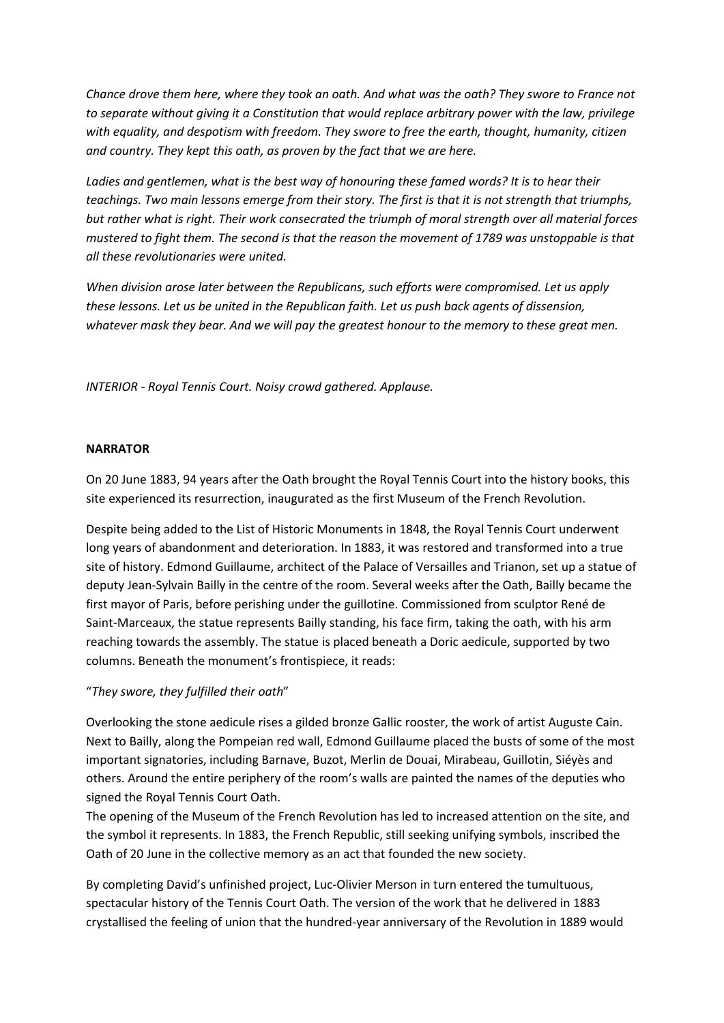*Chance drove them here, where they took an oath. And what was the oath? They swore to France not to separate without giving it a Constitution that would replace arbitrary power with the law, privilege with equality, and despotism with freedom. They swore to free the earth, thought, humanity, citizen and country. They kept this oath, as proven by the fact that we are here.*

*Ladies and gentlemen, what is the best way of honouring these famed words? It is to hear their teachings. Two main lessons emerge from their story. The first is that it is not strength that triumphs, but rather what is right. Their work consecrated the triumph of moral strength over all material forces mustered to fight them. The second is that the reason the movement of 1789 was unstoppable is that all these revolutionaries were united.*

*When division arose later between the Republicans, such efforts were compromised. Let us apply these lessons. Let us be united in the Republican faith. Let us push back agents of dissension, whatever mask they bear. And we will pay the greatest honour to the memory to these great men.*

*INTERIOR - Royal Tennis Court. Noisy crowd gathered. Applause.*

## **NARRATOR**

On 20 June 1883, 94 years after the Oath brought the Royal Tennis Court into the history books, this site experienced its resurrection, inaugurated as the first Museum of the French Revolution.

Despite being added to the List of Historic Monuments in 1848, the Royal Tennis Court underwent long years of abandonment and deterioration. In 1883, it was restored and transformed into a true site of history. Edmond Guillaume, architect of the Palace of Versailles and Trianon, set up a statue of deputy Jean-Sylvain Bailly in the centre of the room. Several weeks after the Oath, Bailly became the first mayor of Paris, before perishing under the guillotine. Commissioned from sculptor René de Saint-Marceaux, the statue represents Bailly standing, his face firm, taking the oath, with his arm reaching towards the assembly. The statue is placed beneath a Doric aedicule, supported by two columns. Beneath the monument's frontispiece, it reads:

## "*They swore, they fulfilled their oath*"

Overlooking the stone aedicule rises a gilded bronze Gallic rooster, the work of artist Auguste Cain. Next to Bailly, along the Pompeian red wall, Edmond Guillaume placed the busts of some of the most important signatories, including Barnave, Buzot, Merlin de Douai, Mirabeau, Guillotin, Siéyès and others. Around the entire periphery of the room's walls are painted the names of the deputies who signed the Royal Tennis Court Oath.

The opening of the Museum of the French Revolution has led to increased attention on the site, and the symbol it represents. In 1883, the French Republic, still seeking unifying symbols, inscribed the Oath of 20 June in the collective memory as an act that founded the new society.

By completing David's unfinished project, Luc-Olivier Merson in turn entered the tumultuous, spectacular history of the Tennis Court Oath. The version of the work that he delivered in 1883 crystallised the feeling of union that the hundred-year anniversary of the Revolution in 1889 would